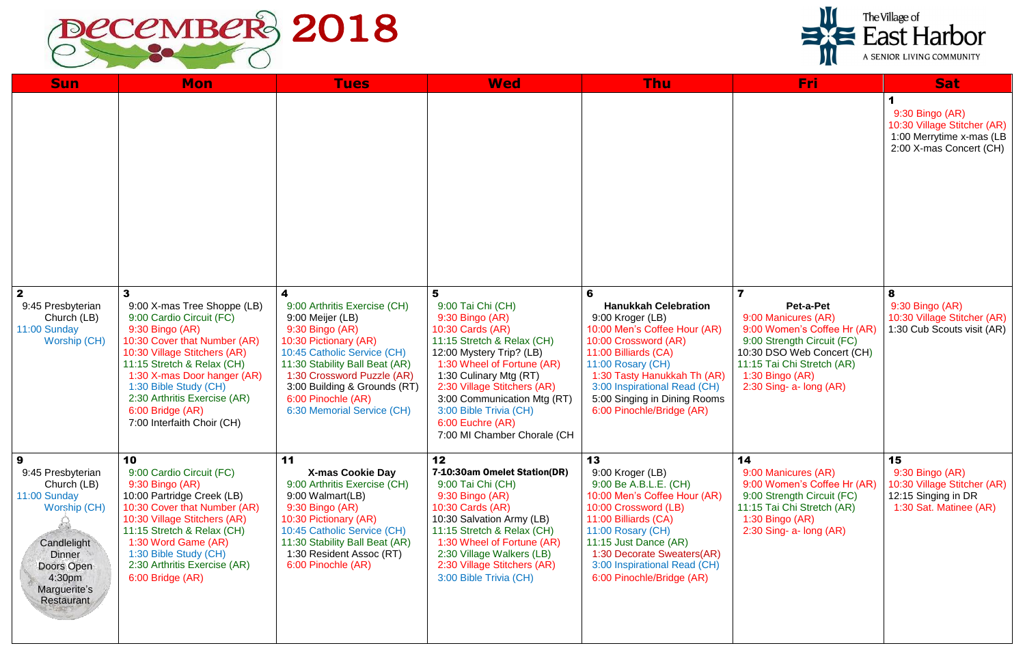

| <b>Sun</b>                                                                                                                                                  | <b>Mon</b>                                                                                                                                                                                                                                                                                                              | <b>Tues</b>                                                                                                                                                                                                                                                                          | <b>Wed</b>                                                                                                                                                                                                                                                                                                                 | <b>Thu</b>                                                                                                                                                                                                                                                                            | Fri:                                                                                                                                                                                                                                   | <b>Sat</b>                                                                                            |
|-------------------------------------------------------------------------------------------------------------------------------------------------------------|-------------------------------------------------------------------------------------------------------------------------------------------------------------------------------------------------------------------------------------------------------------------------------------------------------------------------|--------------------------------------------------------------------------------------------------------------------------------------------------------------------------------------------------------------------------------------------------------------------------------------|----------------------------------------------------------------------------------------------------------------------------------------------------------------------------------------------------------------------------------------------------------------------------------------------------------------------------|---------------------------------------------------------------------------------------------------------------------------------------------------------------------------------------------------------------------------------------------------------------------------------------|----------------------------------------------------------------------------------------------------------------------------------------------------------------------------------------------------------------------------------------|-------------------------------------------------------------------------------------------------------|
|                                                                                                                                                             |                                                                                                                                                                                                                                                                                                                         |                                                                                                                                                                                                                                                                                      |                                                                                                                                                                                                                                                                                                                            |                                                                                                                                                                                                                                                                                       |                                                                                                                                                                                                                                        | 9:30 Bingo (AR)<br>10:30 Village Stitcher (AR)<br>1:00 Merrytime x-mas (LB<br>2:00 X-mas Concert (CH) |
| 2 <sup>1</sup><br>9:45 Presbyterian<br>Church (LB)<br>11:00 Sunday<br>Worship (CH)                                                                          | 3<br>9:00 X-mas Tree Shoppe (LB)<br>9:00 Cardio Circuit (FC)<br>9:30 Bingo (AR)<br>10:30 Cover that Number (AR)<br>10:30 Village Stitchers (AR)<br>11:15 Stretch & Relax (CH)<br>1:30 X-mas Door hanger (AR)<br>1:30 Bible Study (CH)<br>2:30 Arthritis Exercise (AR)<br>6:00 Bridge (AR)<br>7:00 Interfaith Choir (CH) | 4<br>9:00 Arthritis Exercise (CH)<br>9:00 Meijer (LB)<br>9:30 Bingo (AR)<br>10:30 Pictionary (AR)<br>10:45 Catholic Service (CH)<br>11:30 Stability Ball Beat (AR)<br>1:30 Crossword Puzzle (AR)<br>3:00 Building & Grounds (RT)<br>6:00 Pinochle (AR)<br>6:30 Memorial Service (CH) | 5<br>9:00 Tai Chi (CH)<br>9:30 Bingo (AR)<br>10:30 Cards (AR)<br>11:15 Stretch & Relax (CH)<br>12:00 Mystery Trip? (LB)<br>1:30 Wheel of Fortune (AR)<br>1:30 Culinary Mtg (RT)<br>2:30 Village Stitchers (AR)<br>3:00 Communication Mtg (RT)<br>3:00 Bible Trivia (CH)<br>6:00 Euchre (AR)<br>7:00 MI Chamber Chorale (CH | 6<br><b>Hanukkah Celebration</b><br>9:00 Kroger (LB)<br>10:00 Men's Coffee Hour (AR)<br>10:00 Crossword (AR)<br>11:00 Billiards (CA)<br>11:00 Rosary (CH)<br>1:30 Tasty Hanukkah Th (AR)<br>3:00 Inspirational Read (CH)<br>5:00 Singing in Dining Rooms<br>6:00 Pinochle/Bridge (AR) | $\overline{\mathbf{7}}$<br>Pet-a-Pet<br>9:00 Manicures (AR)<br>9:00 Women's Coffee Hr (AR)<br>9:00 Strength Circuit (FC)<br>10:30 DSO Web Concert (CH)<br>11:15 Tai Chi Stretch (AR)<br>$1:30$ Bingo (AR)<br>$2:30$ Sing- a- long (AR) | 8<br>9:30 Bingo (AR)<br>10:30 Village Stitcher (AR)<br>1:30 Cub Scouts visit (AR)                     |
| 9<br>9:45 Presbyterian<br>Church (LB)<br>11:00 Sunday<br>Worship (CH)<br>Candlelight<br><b>Dinner</b><br>Doors Open<br>4:30pm<br>Marguerite's<br>Restaurant | 10<br>9:00 Cardio Circuit (FC)<br>9:30 Bingo (AR)<br>10:00 Partridge Creek (LB)<br>10:30 Cover that Number (AR)<br>10:30 Village Stitchers (AR)<br>11:15 Stretch & Relax (CH)<br>1:30 Word Game (AR)<br>1:30 Bible Study (CH)<br>2:30 Arthritis Exercise (AR)<br>6:00 Bridge (AR)                                       | 11<br><b>X-mas Cookie Day</b><br>9:00 Arthritis Exercise (CH)<br>9:00 Walmart(LB)<br>9:30 Bingo (AR)<br>10:30 Pictionary (AR)<br>10:45 Catholic Service (CH)<br>11:30 Stability Ball Beat (AR)<br>1:30 Resident Assoc (RT)<br>6:00 Pinochle (AR)                                     | 12<br>7-10:30am Omelet Station(DR)<br>9:00 Tai Chi (CH)<br>9:30 Bingo (AR)<br>10:30 Cards (AR)<br>10:30 Salvation Army (LB)<br>11:15 Stretch & Relax (CH)<br>1:30 Wheel of Fortune (AR)<br>2:30 Village Walkers (LB)<br>2:30 Village Stitchers (AR)<br>3:00 Bible Trivia (CH)                                              | 13<br>9:00 Kroger (LB)<br>9:00 Be A.B.L.E. (CH)<br>10:00 Men's Coffee Hour (AR)<br>10:00 Crossword (LB)<br>11:00 Billiards (CA)<br>11:00 Rosary (CH)<br>11:15 Just Dance (AR)<br>1:30 Decorate Sweaters(AR)<br>3:00 Inspirational Read (CH)<br>6:00 Pinochle/Bridge (AR)              | 14<br>9:00 Manicures (AR)<br>9:00 Women's Coffee Hr (AR)<br>9:00 Strength Circuit (FC)<br>11:15 Tai Chi Stretch (AR)<br>1:30 Bingo (AR)<br>$2:30$ Sing- a- long (AR)                                                                   | 15<br>9:30 Bingo (AR)<br>10:30 Village Stitcher (AR)<br>12:15 Singing in DR<br>1:30 Sat. Matinee (AR) |



The Village of<br>
East Harbor

A SENIOR LIVING COMMUNITY